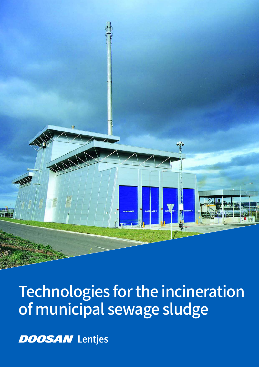

# Technologies for the incineration of municipal sewage sludge

**DOOSAN** Lentjes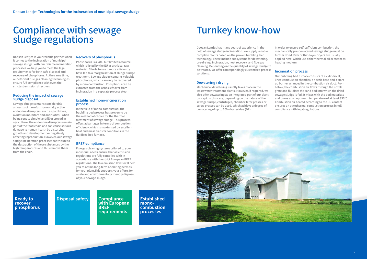## Compliance with sewage sludge regulations

Doosan Lentjes is your reliable partner when it comes to the incineration of municipal sewage sludge. With our reliable incineration processes we help you to meet the legal requirements for both safe disposal and recovery of phosphorus. At the same time, our efficient flue gas cleaning technologies ensure full compliance with even the strictest emission directives.

#### Reducing the impact of sewage sludge disposal

Sewage sludge contains considerable amounts of harmful, hormonally active endocrine disrupters, such as painkillers, ovulation inhibitors and antibiotics. When being sent to simple landfill or spread in agriculture, the endocrine disrupters remain part of the food chain and can cause serious damage to human health by disturbing growth and development or negatively affecting reproduction. However, our sewage sludge incineration processes contribute to the destruction of these substances by the high temperatures and thus remove them from the chain.

#### Recovery of phosphorus

Phosphorus is a vital but limited resource, which is listed by the EU as a critical raw material. Efforts to use it more efficiently have led to a reorganisation of sludge sludge treatment. Sewage sludge contains valuable phosphorus, which can only be recovered by mono-combustion. Phosphorus can be extracted from the ashes left over from incineration in a separate process step.

#### Established mono-incineration process

In the field of mono-combustion, the bubbling bed process has proven to be the method of choice for the thermal treatment of sewage sludge. This process offers advantages in terms of combustion efficiency, which is maximised by excellent heat and mass transfer conditions in the fluidised bed furnace.

#### BREF-compliance

Flue gas cleaning systems tailored to your individual needs ensure that all emission regulations are fully complied with in accordance with the strict European BREF regulations. The low emission levels will help you to obtain long-term operating permits for your plant.This supports your efforts for a safe and environmentally friendly disposal of your sewage sludge.

## Turnkey know-how

Doosan Lentjes has many years of experience in the field of sewage sludge incineration. We supply reliable complete plants based on the proven bubbling bed technology. These include subsystems for dewatering, pre-drying, incineration, heat recovery and flue gas cleaning. Depending on the quantity of sewage sludge to be treated, we offer correspondingly customised process solutions.

#### Dewatering / drying

Mechanical dewatering usually takes place in the wastewater treatment plants. However, if required, we also offer dewatering as an integrated part of our plant concept. In this case, depending on the nature of the sewage sludge, centrifuges, chamber filter presses or screw presses can be used, which achieve a degree of dewatering of up to 30% dry residue (DR).





In order to ensure self-sufficient combustion, the mechanically pre-dewatered sewage sludge must be further dried. Disk or thin-layer dryers are usually applied here, which use either thermal oil or steam as heating medium.

#### Incineration process

Our bubbling bed furnace consists of a cylindrical, lined combustion chamber, a nozzle base and a startup burner arranged in the combustion air duct. From below, the combustion air flows through the nozzle grate and fluidises the sand bed into which the dried sewage sludge is fed. It mixes with the bed materials and burns at an optimum temperature of at least 850°C. Combustion air heated according to the DR content ensures an autothermal combustion process in full compliance with legal regulations.

#### **Ready to recover phosphorus**

### **Disposal safety Compliance**

**with European BREF requirements** 

**Established monocombustion processes**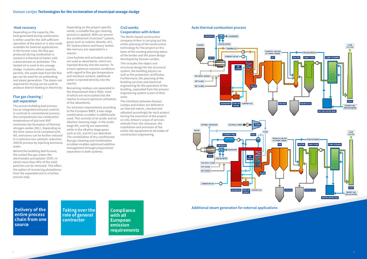#### Heat recovery

Depending on the capacity, the heat generated during combustion is either used for the self-sufficient operation of the plant or is also made available for external applications. In the former case, the flue gas produced during combustion is cooled in a thermal oil boiler with a downstream air preheater. The heated oil is used to dry sewage sludge. In plants whose capacity permits, the waste heat from the flue gas can be used for air preheating and steam generation. The steam not required for drying can be used to produce district heating or electricity.

#### Flue gas cleaning / ash separation

The proven bubbling bed process has an integrated emission control: in contrast to conventional process, the comparatively low combustion temperature of just over 850° minimises the formation of thermal nitrogen oxides (NO $_{\mathrm{x}}$ ). Depending on the limit values to be complied with,  $\mathsf{NO}_{\mathsf{x}}$  emissions can be further reduced in a selective non-catalytic reduction (SNCR) process by injecting ammonia water.

Behind the bubbling bed furnace, the cooled flue gas enters the electrostatic precipitator (ESP), in which more than 99% of the solid particles can be removed. This offers the option of recovering phosphorus from the separated ash in a further process step.

Depending on the project-specific needs, a suitable flue gas cleaning process is applied. With our proven dry conditioned Circoclean® system, gases such as sulphur dioxide, HCl, HF, hydrocarbons and heavy metals like mercury are separated in a reactor.

Lime hydrate and activated carbon are used as absorbents, which are injected directly into the reactor. To ensure optimum reaction conditions with regard to flue gas temperature and moisture content, additional water is injected directly into the reactor.

**Delivery of the entire process chain from one source** 

Remaining residues are separated in the downstream fabric filter, most of which are recirculated into the reactor to ensure optimum utilisation of the absorbents.

For emission requirements according to the European BREF, a two-stage combination scrubber is additionally used. This consists of an acidic and an alkaline cleaning stage. In the acidic stage NH $_{\tiny 3}$  and Hg are separated, while in the alkaline stage gases such as SO $_{\textrm{\tiny{2}}}$  and HCl are absorbed. The combination of dry-conditioned flue gas cleaning and combination scrubber enables optimised additive management through proportional separation in both systems.

#### Civil works: Cooperation with Arikon

The Berlin-based construction company Arikon is carrying out the entire planning of the construction technology for the project on the basis of the existing planning status of the tender and the plant design developed by Doosan Lentjes.

This includes the object and structural design for the structural system, the building physics as well as fire protection certificates. Furthermore, the planning of the building services and electrical engineering for the operation of the building, separated from the process engineering system is part of their work.

The interfaces between Doosan Lentjes and Arikon are defined in an internal matrix, checked and adjusted accordingly for each project. During the execution of the project on site, Arikon's scope of services extends from site clearance, the installation and provision of the entire site equipment to all trades of construction engineering.

**Taking over the role of general contractor**

**Compliance with all European emission requirements** Additional steam generation for external applications

#### Auto thermal combustion process

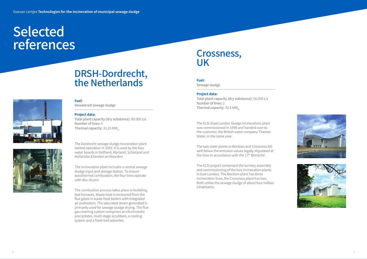# Selected references



#### **Fuel:**

Total plant capacity (dry substance): 56.000 t/a Number of lines: 2 Thermal capacity:  $32.8$  MW<sub>th</sub>

Sewage sludge

#### **Project data:**

The two sister plants in Beckton and Crossness fall well below the emission values legally stipulated at the time in accordance with the 17<sup>th</sup> BImSchV.

The ELSI (East London Sludge Incineration) plant was commissioned in 1998 and handed over to the customer, the British water company Thames Water, in the same year.

Total plant capacity (dry substance): 90.000 t/a Number of lines: 4 Thermal capacity:  $31.25$  MW<sub>th</sub>

> The ELSI project comprised the turnkey assembly and commissioning of the two incineration plants in East London. The Beckton plant has three incineration lines, the Crossness plant has two. Both utilise the sewage sludge of about four million inhabitants.



## Crossness, UK

#### **Fuel:**

Dewatered sewage sludge

#### **Project data:**

The Dordrecht sewage sludge incineration plant started operation in 1993. It is used by the four water boards in Delfland, Rijnland, Schieland and Hollandse Eilanden en Waarden.

The incineration plant includes a central sewage sludge input and storage station. To ensure autothermal combustion, the four lines operate with disc dryers.

The combustion process takes place in bubbling bed furnaces. Waste heat is recovered from the flue gases in waste heat boilers with integrated air preheaters. The saturated steam generated is primarily used for sewage sludge drying. The flue gas cleaning system comprises an electrostatic precipitator, multi-stage scrubbers, a cooling system and a fixed-bed adsorber.

## DRSH-Dordrecht, the Netherlands